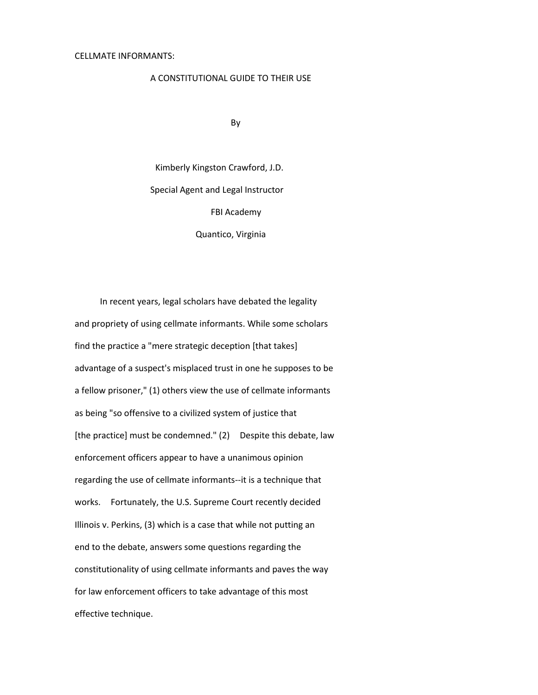### A CONSTITUTIONAL GUIDE TO THEIR USE

By

Kimberly Kingston Crawford, J.D. Special Agent and Legal Instructor FBI Academy Quantico, Virginia

In recent years, legal scholars have debated the legality and propriety of using cellmate informants. While some scholars find the practice a "mere strategic deception [that takes] advantage of a suspect's misplaced trust in one he supposes to be a fellow prisoner," (1) others view the use of cellmate informants as being "so offensive to a civilized system of justice that [the practice] must be condemned." (2) Despite this debate, law enforcement officers appear to have a unanimous opinion regarding the use of cellmate informants--it is a technique that works. Fortunately, the U.S. Supreme Court recently decided Illinois v. Perkins, (3) which is a case that while not putting an end to the debate, answers some questions regarding the constitutionality of using cellmate informants and paves the way for law enforcement officers to take advantage of this most effective technique.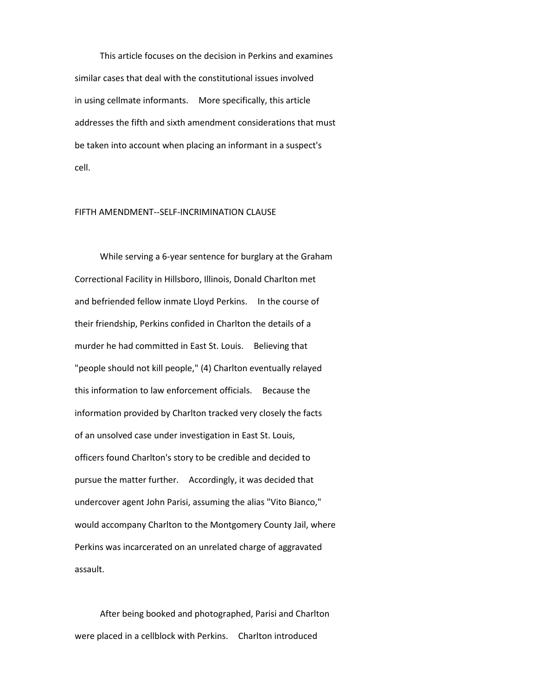This article focuses on the decision in Perkins and examines similar cases that deal with the constitutional issues involved in using cellmate informants. More specifically, this article addresses the fifth and sixth amendment considerations that must be taken into account when placing an informant in a suspect's cell.

# FIFTH AMENDMENT--SELF-INCRIMINATION CLAUSE

While serving a 6-year sentence for burglary at the Graham Correctional Facility in Hillsboro, Illinois, Donald Charlton met and befriended fellow inmate Lloyd Perkins. In the course of their friendship, Perkins confided in Charlton the details of a murder he had committed in East St. Louis. Believing that "people should not kill people," (4) Charlton eventually relayed this information to law enforcement officials. Because the information provided by Charlton tracked very closely the facts of an unsolved case under investigation in East St. Louis, officers found Charlton's story to be credible and decided to pursue the matter further. Accordingly, it was decided that undercover agent John Parisi, assuming the alias "Vito Bianco," would accompany Charlton to the Montgomery County Jail, where Perkins was incarcerated on an unrelated charge of aggravated assault.

After being booked and photographed, Parisi and Charlton were placed in a cellblock with Perkins. Charlton introduced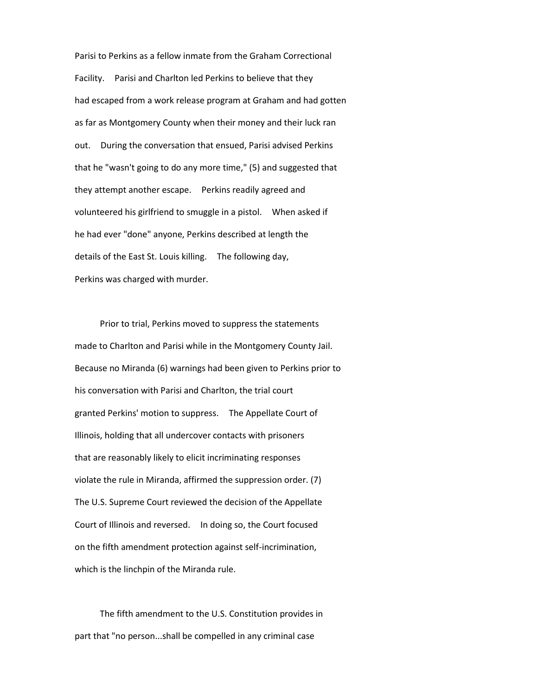Parisi to Perkins as a fellow inmate from the Graham Correctional Facility. Parisi and Charlton led Perkins to believe that they had escaped from a work release program at Graham and had gotten as far as Montgomery County when their money and their luck ran out. During the conversation that ensued, Parisi advised Perkins that he "wasn't going to do any more time," (5) and suggested that they attempt another escape. Perkins readily agreed and volunteered his girlfriend to smuggle in a pistol. When asked if he had ever "done" anyone, Perkins described at length the details of the East St. Louis killing. The following day, Perkins was charged with murder.

Prior to trial, Perkins moved to suppress the statements made to Charlton and Parisi while in the Montgomery County Jail. Because no Miranda (6) warnings had been given to Perkins prior to his conversation with Parisi and Charlton, the trial court granted Perkins' motion to suppress. The Appellate Court of Illinois, holding that all undercover contacts with prisoners that are reasonably likely to elicit incriminating responses violate the rule in Miranda, affirmed the suppression order. (7) The U.S. Supreme Court reviewed the decision of the Appellate Court of Illinois and reversed. In doing so, the Court focused on the fifth amendment protection against self-incrimination, which is the linchpin of the Miranda rule.

The fifth amendment to the U.S. Constitution provides in part that "no person...shall be compelled in any criminal case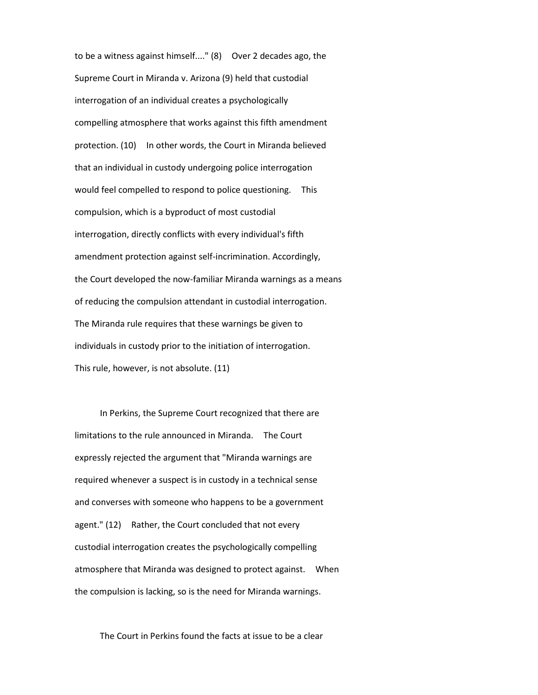to be a witness against himself...." (8) Over 2 decades ago, the Supreme Court in Miranda v. Arizona (9) held that custodial interrogation of an individual creates a psychologically compelling atmosphere that works against this fifth amendment protection. (10) In other words, the Court in Miranda believed that an individual in custody undergoing police interrogation would feel compelled to respond to police questioning. This compulsion, which is a byproduct of most custodial interrogation, directly conflicts with every individual's fifth amendment protection against self-incrimination. Accordingly, the Court developed the now-familiar Miranda warnings as a means of reducing the compulsion attendant in custodial interrogation. The Miranda rule requires that these warnings be given to individuals in custody prior to the initiation of interrogation. This rule, however, is not absolute. (11)

In Perkins, the Supreme Court recognized that there are limitations to the rule announced in Miranda. The Court expressly rejected the argument that "Miranda warnings are required whenever a suspect is in custody in a technical sense and converses with someone who happens to be a government agent." (12) Rather, the Court concluded that not every custodial interrogation creates the psychologically compelling atmosphere that Miranda was designed to protect against. When the compulsion is lacking, so is the need for Miranda warnings.

The Court in Perkins found the facts at issue to be a clear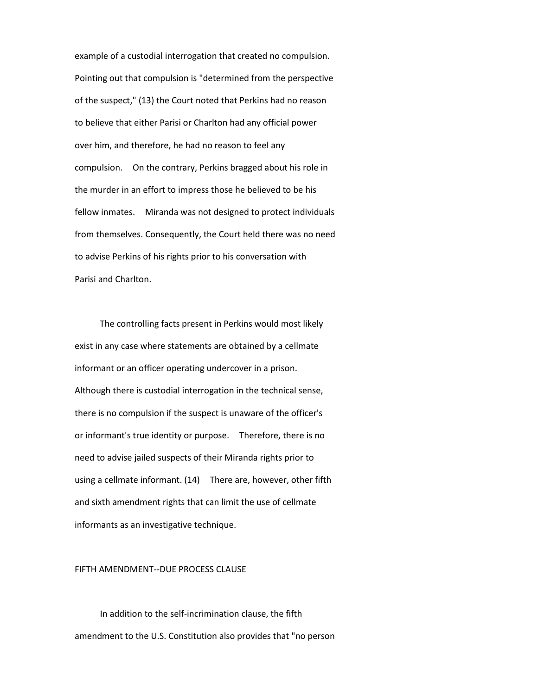example of a custodial interrogation that created no compulsion. Pointing out that compulsion is "determined from the perspective of the suspect," (13) the Court noted that Perkins had no reason to believe that either Parisi or Charlton had any official power over him, and therefore, he had no reason to feel any compulsion. On the contrary, Perkins bragged about his role in the murder in an effort to impress those he believed to be his fellow inmates. Miranda was not designed to protect individuals from themselves. Consequently, the Court held there was no need to advise Perkins of his rights prior to his conversation with Parisi and Charlton.

The controlling facts present in Perkins would most likely exist in any case where statements are obtained by a cellmate informant or an officer operating undercover in a prison. Although there is custodial interrogation in the technical sense, there is no compulsion if the suspect is unaware of the officer's or informant's true identity or purpose. Therefore, there is no need to advise jailed suspects of their Miranda rights prior to using a cellmate informant. (14) There are, however, other fifth and sixth amendment rights that can limit the use of cellmate informants as an investigative technique.

FIFTH AMENDMENT--DUE PROCESS CLAUSE

In addition to the self-incrimination clause, the fifth amendment to the U.S. Constitution also provides that "no person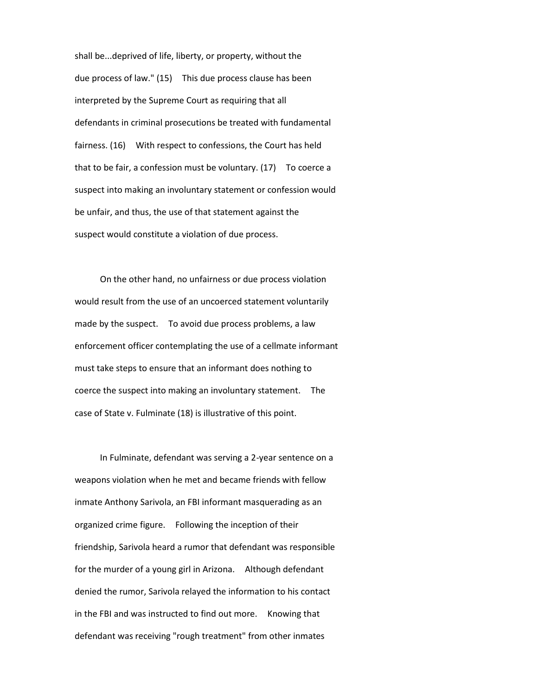shall be...deprived of life, liberty, or property, without the due process of law." (15) This due process clause has been interpreted by the Supreme Court as requiring that all defendants in criminal prosecutions be treated with fundamental fairness. (16) With respect to confessions, the Court has held that to be fair, a confession must be voluntary. (17) To coerce a suspect into making an involuntary statement or confession would be unfair, and thus, the use of that statement against the suspect would constitute a violation of due process.

On the other hand, no unfairness or due process violation would result from the use of an uncoerced statement voluntarily made by the suspect. To avoid due process problems, a law enforcement officer contemplating the use of a cellmate informant must take steps to ensure that an informant does nothing to coerce the suspect into making an involuntary statement. The case of State v. Fulminate (18) is illustrative of this point.

In Fulminate, defendant was serving a 2-year sentence on a weapons violation when he met and became friends with fellow inmate Anthony Sarivola, an FBI informant masquerading as an organized crime figure. Following the inception of their friendship, Sarivola heard a rumor that defendant was responsible for the murder of a young girl in Arizona. Although defendant denied the rumor, Sarivola relayed the information to his contact in the FBI and was instructed to find out more. Knowing that defendant was receiving "rough treatment" from other inmates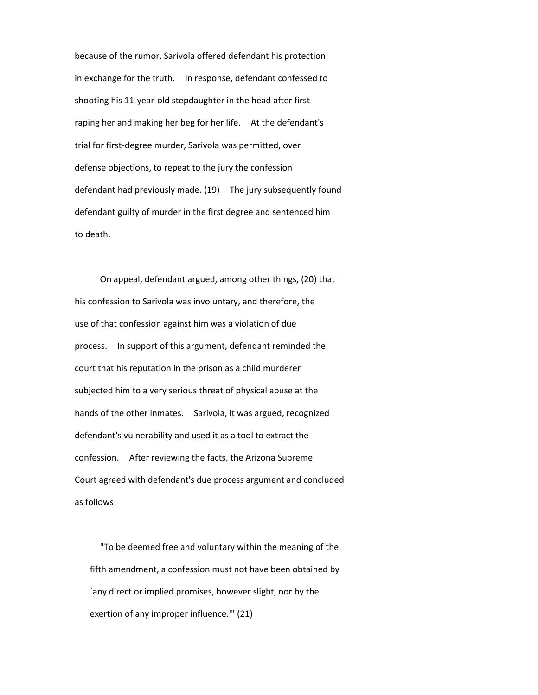because of the rumor, Sarivola offered defendant his protection in exchange for the truth. In response, defendant confessed to shooting his 11-year-old stepdaughter in the head after first raping her and making her beg for her life. At the defendant's trial for first-degree murder, Sarivola was permitted, over defense objections, to repeat to the jury the confession defendant had previously made. (19) The jury subsequently found defendant guilty of murder in the first degree and sentenced him to death.

On appeal, defendant argued, among other things, (20) that his confession to Sarivola was involuntary, and therefore, the use of that confession against him was a violation of due process. In support of this argument, defendant reminded the court that his reputation in the prison as a child murderer subjected him to a very serious threat of physical abuse at the hands of the other inmates. Sarivola, it was argued, recognized defendant's vulnerability and used it as a tool to extract the confession. After reviewing the facts, the Arizona Supreme Court agreed with defendant's due process argument and concluded as follows:

"To be deemed free and voluntary within the meaning of the fifth amendment, a confession must not have been obtained by `any direct or implied promises, however slight, nor by the exertion of any improper influence.'" (21)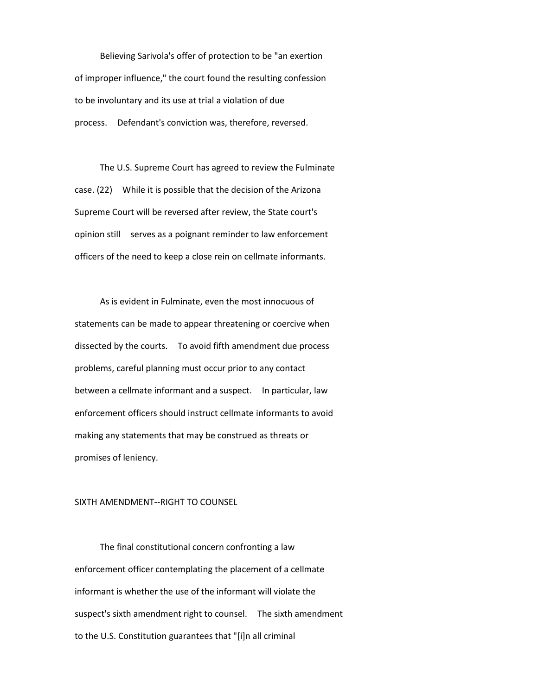Believing Sarivola's offer of protection to be "an exertion of improper influence," the court found the resulting confession to be involuntary and its use at trial a violation of due process. Defendant's conviction was, therefore, reversed.

The U.S. Supreme Court has agreed to review the Fulminate case. (22) While it is possible that the decision of the Arizona Supreme Court will be reversed after review, the State court's opinion still serves as a poignant reminder to law enforcement officers of the need to keep a close rein on cellmate informants.

As is evident in Fulminate, even the most innocuous of statements can be made to appear threatening or coercive when dissected by the courts. To avoid fifth amendment due process problems, careful planning must occur prior to any contact between a cellmate informant and a suspect. In particular, law enforcement officers should instruct cellmate informants to avoid making any statements that may be construed as threats or promises of leniency.

### SIXTH AMENDMENT--RIGHT TO COUNSEL

The final constitutional concern confronting a law enforcement officer contemplating the placement of a cellmate informant is whether the use of the informant will violate the suspect's sixth amendment right to counsel. The sixth amendment to the U.S. Constitution guarantees that "[i]n all criminal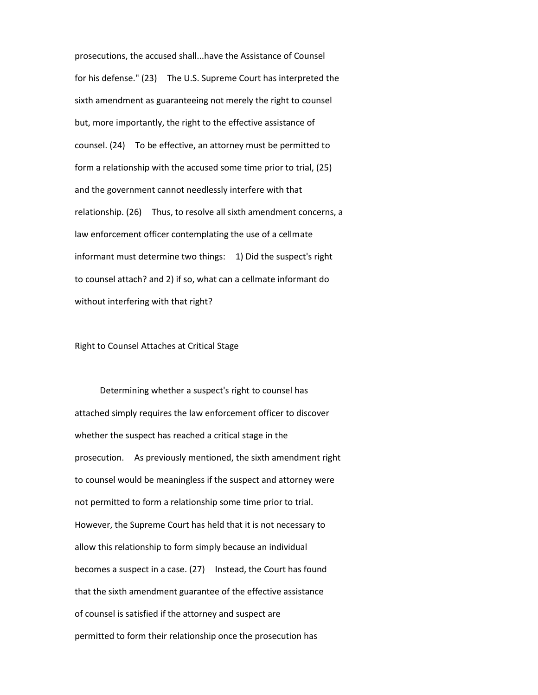prosecutions, the accused shall...have the Assistance of Counsel for his defense." (23) The U.S. Supreme Court has interpreted the sixth amendment as guaranteeing not merely the right to counsel but, more importantly, the right to the effective assistance of counsel. (24) To be effective, an attorney must be permitted to form a relationship with the accused some time prior to trial, (25) and the government cannot needlessly interfere with that relationship. (26) Thus, to resolve all sixth amendment concerns, a law enforcement officer contemplating the use of a cellmate informant must determine two things: 1) Did the suspect's right to counsel attach? and 2) if so, what can a cellmate informant do without interfering with that right?

Right to Counsel Attaches at Critical Stage

Determining whether a suspect's right to counsel has attached simply requires the law enforcement officer to discover whether the suspect has reached a critical stage in the prosecution. As previously mentioned, the sixth amendment right to counsel would be meaningless if the suspect and attorney were not permitted to form a relationship some time prior to trial. However, the Supreme Court has held that it is not necessary to allow this relationship to form simply because an individual becomes a suspect in a case. (27) Instead, the Court has found that the sixth amendment guarantee of the effective assistance of counsel is satisfied if the attorney and suspect are permitted to form their relationship once the prosecution has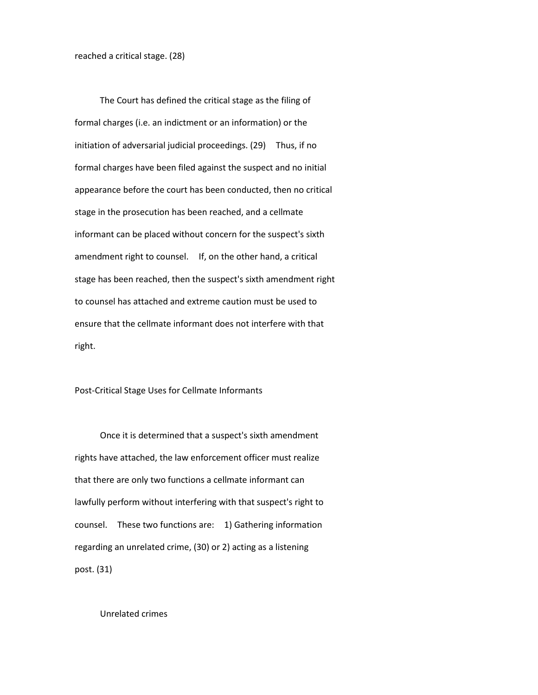The Court has defined the critical stage as the filing of formal charges (i.e. an indictment or an information) or the initiation of adversarial judicial proceedings. (29) Thus, if no formal charges have been filed against the suspect and no initial appearance before the court has been conducted, then no critical stage in the prosecution has been reached, and a cellmate informant can be placed without concern for the suspect's sixth amendment right to counsel. If, on the other hand, a critical stage has been reached, then the suspect's sixth amendment right to counsel has attached and extreme caution must be used to ensure that the cellmate informant does not interfere with that right.

Post-Critical Stage Uses for Cellmate Informants

Once it is determined that a suspect's sixth amendment rights have attached, the law enforcement officer must realize that there are only two functions a cellmate informant can lawfully perform without interfering with that suspect's right to counsel. These two functions are: 1) Gathering information regarding an unrelated crime, (30) or 2) acting as a listening post. (31)

Unrelated crimes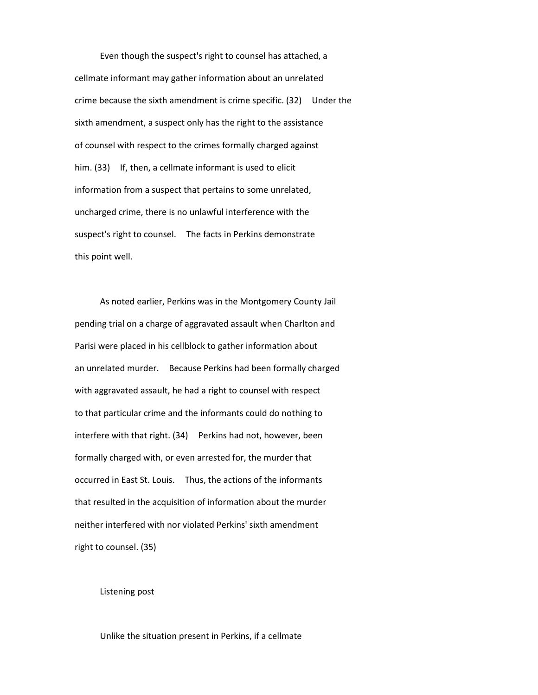Even though the suspect's right to counsel has attached, a cellmate informant may gather information about an unrelated crime because the sixth amendment is crime specific. (32) Under the sixth amendment, a suspect only has the right to the assistance of counsel with respect to the crimes formally charged against him. (33) If, then, a cellmate informant is used to elicit information from a suspect that pertains to some unrelated, uncharged crime, there is no unlawful interference with the suspect's right to counsel. The facts in Perkins demonstrate this point well.

As noted earlier, Perkins was in the Montgomery County Jail pending trial on a charge of aggravated assault when Charlton and Parisi were placed in his cellblock to gather information about an unrelated murder. Because Perkins had been formally charged with aggravated assault, he had a right to counsel with respect to that particular crime and the informants could do nothing to interfere with that right. (34) Perkins had not, however, been formally charged with, or even arrested for, the murder that occurred in East St. Louis. Thus, the actions of the informants that resulted in the acquisition of information about the murder neither interfered with nor violated Perkins' sixth amendment right to counsel. (35)

#### Listening post

Unlike the situation present in Perkins, if a cellmate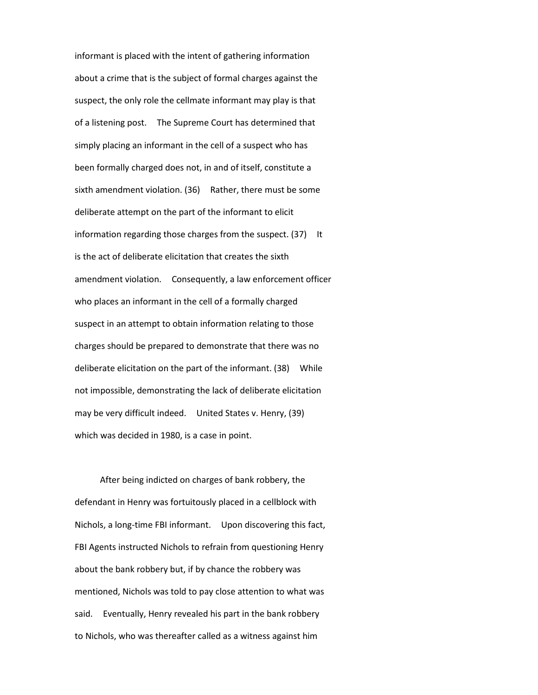informant is placed with the intent of gathering information about a crime that is the subject of formal charges against the suspect, the only role the cellmate informant may play is that of a listening post. The Supreme Court has determined that simply placing an informant in the cell of a suspect who has been formally charged does not, in and of itself, constitute a sixth amendment violation. (36) Rather, there must be some deliberate attempt on the part of the informant to elicit information regarding those charges from the suspect. (37) It is the act of deliberate elicitation that creates the sixth amendment violation. Consequently, a law enforcement officer who places an informant in the cell of a formally charged suspect in an attempt to obtain information relating to those charges should be prepared to demonstrate that there was no deliberate elicitation on the part of the informant. (38) While not impossible, demonstrating the lack of deliberate elicitation may be very difficult indeed. United States v. Henry, (39) which was decided in 1980, is a case in point.

After being indicted on charges of bank robbery, the defendant in Henry was fortuitously placed in a cellblock with Nichols, a long-time FBI informant. Upon discovering this fact, FBI Agents instructed Nichols to refrain from questioning Henry about the bank robbery but, if by chance the robbery was mentioned, Nichols was told to pay close attention to what was said. Eventually, Henry revealed his part in the bank robbery to Nichols, who was thereafter called as a witness against him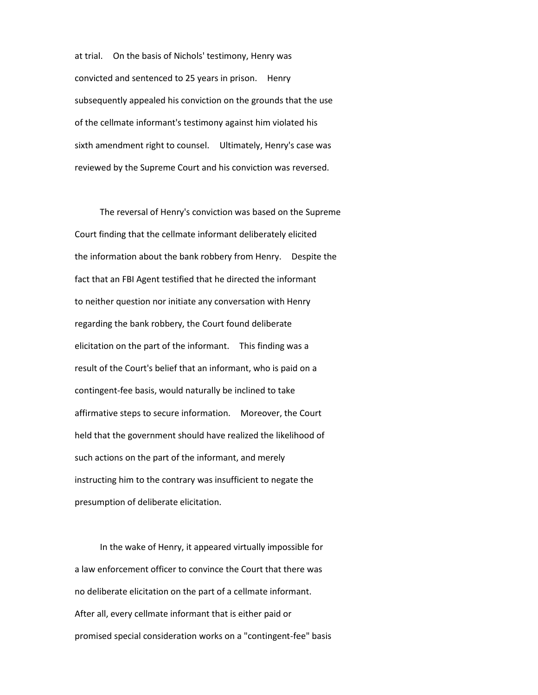at trial. On the basis of Nichols' testimony, Henry was convicted and sentenced to 25 years in prison. Henry subsequently appealed his conviction on the grounds that the use of the cellmate informant's testimony against him violated his sixth amendment right to counsel. Ultimately, Henry's case was reviewed by the Supreme Court and his conviction was reversed.

The reversal of Henry's conviction was based on the Supreme Court finding that the cellmate informant deliberately elicited the information about the bank robbery from Henry. Despite the fact that an FBI Agent testified that he directed the informant to neither question nor initiate any conversation with Henry regarding the bank robbery, the Court found deliberate elicitation on the part of the informant. This finding was a result of the Court's belief that an informant, who is paid on a contingent-fee basis, would naturally be inclined to take affirmative steps to secure information. Moreover, the Court held that the government should have realized the likelihood of such actions on the part of the informant, and merely instructing him to the contrary was insufficient to negate the presumption of deliberate elicitation.

In the wake of Henry, it appeared virtually impossible for a law enforcement officer to convince the Court that there was no deliberate elicitation on the part of a cellmate informant. After all, every cellmate informant that is either paid or promised special consideration works on a "contingent-fee" basis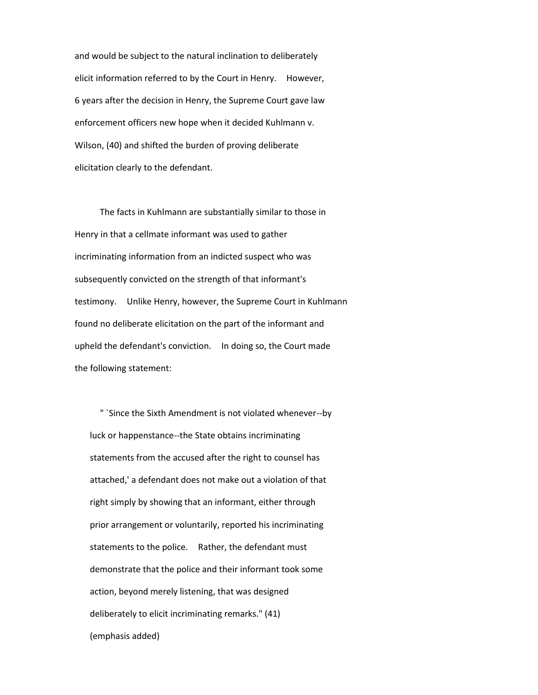and would be subject to the natural inclination to deliberately elicit information referred to by the Court in Henry. However, 6 years after the decision in Henry, the Supreme Court gave law enforcement officers new hope when it decided Kuhlmann v. Wilson, (40) and shifted the burden of proving deliberate elicitation clearly to the defendant.

The facts in Kuhlmann are substantially similar to those in Henry in that a cellmate informant was used to gather incriminating information from an indicted suspect who was subsequently convicted on the strength of that informant's testimony. Unlike Henry, however, the Supreme Court in Kuhlmann found no deliberate elicitation on the part of the informant and upheld the defendant's conviction. In doing so, the Court made the following statement:

" `Since the Sixth Amendment is not violated whenever--by luck or happenstance--the State obtains incriminating statements from the accused after the right to counsel has attached,' a defendant does not make out a violation of that right simply by showing that an informant, either through prior arrangement or voluntarily, reported his incriminating statements to the police. Rather, the defendant must demonstrate that the police and their informant took some action, beyond merely listening, that was designed deliberately to elicit incriminating remarks." (41) (emphasis added)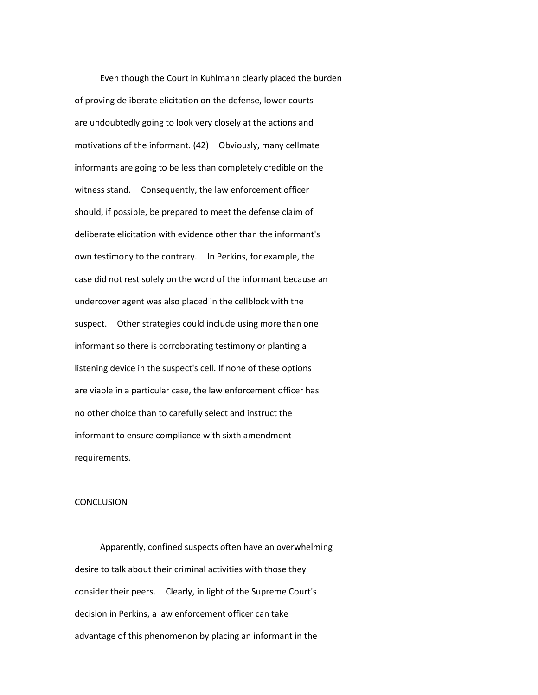Even though the Court in Kuhlmann clearly placed the burden of proving deliberate elicitation on the defense, lower courts are undoubtedly going to look very closely at the actions and motivations of the informant. (42) Obviously, many cellmate informants are going to be less than completely credible on the witness stand. Consequently, the law enforcement officer should, if possible, be prepared to meet the defense claim of deliberate elicitation with evidence other than the informant's own testimony to the contrary. In Perkins, for example, the case did not rest solely on the word of the informant because an undercover agent was also placed in the cellblock with the suspect. Other strategies could include using more than one informant so there is corroborating testimony or planting a listening device in the suspect's cell. If none of these options are viable in a particular case, the law enforcement officer has no other choice than to carefully select and instruct the informant to ensure compliance with sixth amendment requirements.

#### **CONCLUSION**

Apparently, confined suspects often have an overwhelming desire to talk about their criminal activities with those they consider their peers. Clearly, in light of the Supreme Court's decision in Perkins, a law enforcement officer can take advantage of this phenomenon by placing an informant in the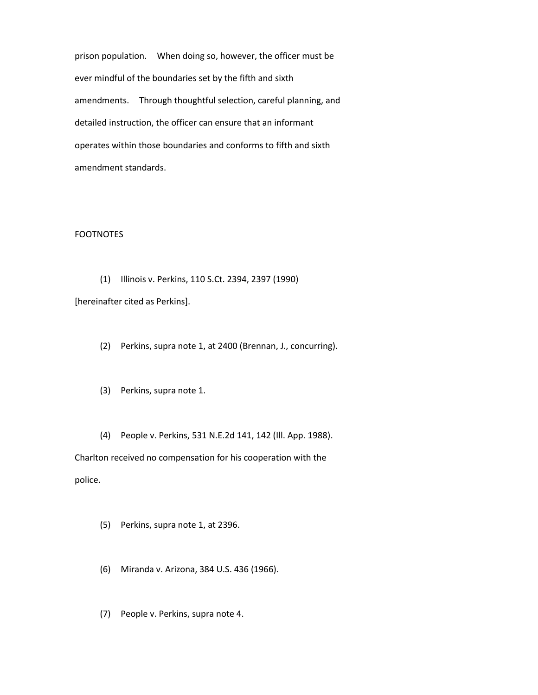prison population. When doing so, however, the officer must be ever mindful of the boundaries set by the fifth and sixth amendments. Through thoughtful selection, careful planning, and detailed instruction, the officer can ensure that an informant operates within those boundaries and conforms to fifth and sixth amendment standards.

# FOOTNOTES

(1) Illinois v. Perkins, 110 S.Ct. 2394, 2397 (1990)

[hereinafter cited as Perkins].

- (2) Perkins, supra note 1, at 2400 (Brennan, J., concurring).
- (3) Perkins, supra note 1.
- (4) People v. Perkins, 531 N.E.2d 141, 142 (Ill. App. 1988).

Charlton received no compensation for his cooperation with the police.

- (5) Perkins, supra note 1, at 2396.
- (6) Miranda v. Arizona, 384 U.S. 436 (1966).
- (7) People v. Perkins, supra note 4.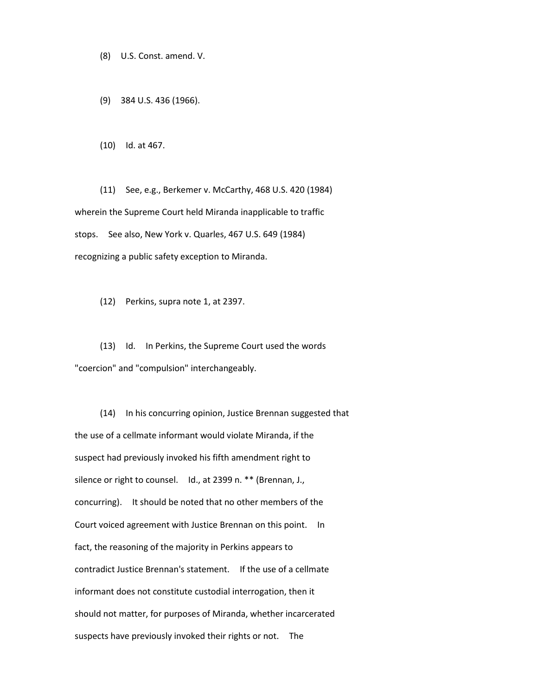(8) U.S. Const. amend. V.

(9) 384 U.S. 436 (1966).

(10) Id. at 467.

(11) See, e.g., Berkemer v. McCarthy, 468 U.S. 420 (1984) wherein the Supreme Court held Miranda inapplicable to traffic stops. See also, New York v. Quarles, 467 U.S. 649 (1984) recognizing a public safety exception to Miranda.

(12) Perkins, supra note 1, at 2397.

(13) Id. In Perkins, the Supreme Court used the words "coercion" and "compulsion" interchangeably.

(14) In his concurring opinion, Justice Brennan suggested that the use of a cellmate informant would violate Miranda, if the suspect had previously invoked his fifth amendment right to silence or right to counsel. Id., at 2399 n. \*\* (Brennan, J., concurring). It should be noted that no other members of the Court voiced agreement with Justice Brennan on this point. In fact, the reasoning of the majority in Perkins appears to contradict Justice Brennan's statement. If the use of a cellmate informant does not constitute custodial interrogation, then it should not matter, for purposes of Miranda, whether incarcerated suspects have previously invoked their rights or not. The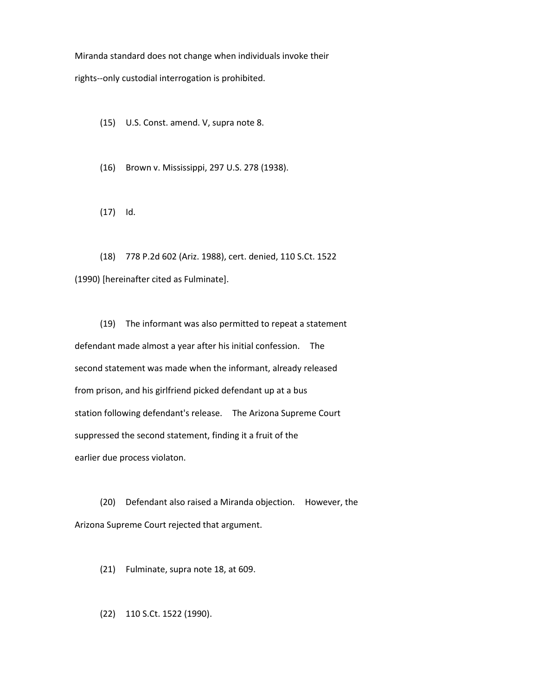Miranda standard does not change when individuals invoke their

rights--only custodial interrogation is prohibited.

(15) U.S. Const. amend. V, supra note 8.

(16) Brown v. Mississippi, 297 U.S. 278 (1938).

(17) Id.

(18) 778 P.2d 602 (Ariz. 1988), cert. denied, 110 S.Ct. 1522 (1990) [hereinafter cited as Fulminate].

(19) The informant was also permitted to repeat a statement defendant made almost a year after his initial confession. The second statement was made when the informant, already released from prison, and his girlfriend picked defendant up at a bus station following defendant's release. The Arizona Supreme Court suppressed the second statement, finding it a fruit of the earlier due process violaton.

(20) Defendant also raised a Miranda objection. However, the Arizona Supreme Court rejected that argument.

(21) Fulminate, supra note 18, at 609.

(22) 110 S.Ct. 1522 (1990).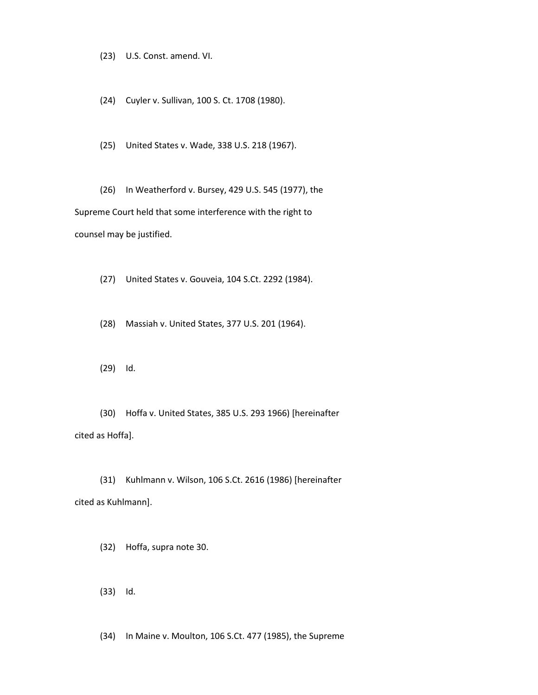(23) U.S. Const. amend. VI.

(24) Cuyler v. Sullivan, 100 S. Ct. 1708 (1980).

(25) United States v. Wade, 338 U.S. 218 (1967).

(26) In Weatherford v. Bursey, 429 U.S. 545 (1977), the Supreme Court held that some interference with the right to counsel may be justified.

(27) United States v. Gouveia, 104 S.Ct. 2292 (1984).

(28) Massiah v. United States, 377 U.S. 201 (1964).

(29) Id.

(30) Hoffa v. United States, 385 U.S. 293 1966) [hereinafter cited as Hoffa].

(31) Kuhlmann v. Wilson, 106 S.Ct. 2616 (1986) [hereinafter cited as Kuhlmann].

(32) Hoffa, supra note 30.

(33) Id.

(34) In Maine v. Moulton, 106 S.Ct. 477 (1985), the Supreme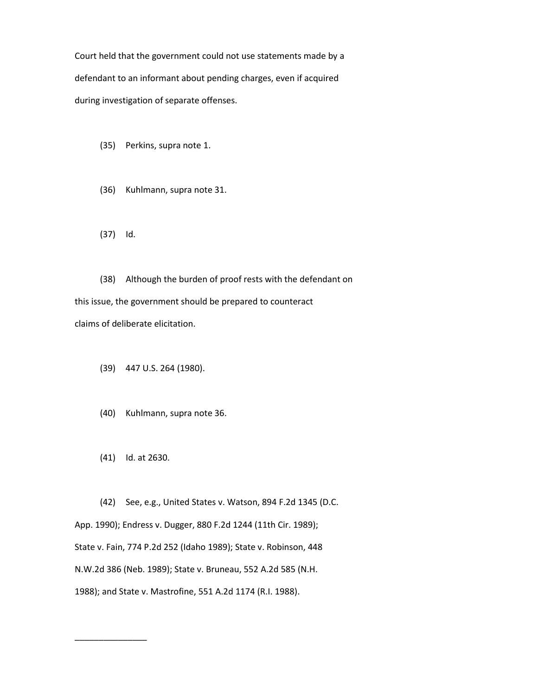Court held that the government could not use statements made by a defendant to an informant about pending charges, even if acquired during investigation of separate offenses.

- (35) Perkins, supra note 1.
- (36) Kuhlmann, supra note 31.
- (37) Id.

(38) Although the burden of proof rests with the defendant on this issue, the government should be prepared to counteract claims of deliberate elicitation.

- (39) 447 U.S. 264 (1980).
- (40) Kuhlmann, supra note 36.
- (41) Id. at 2630.

\_\_\_\_\_\_\_\_\_\_\_\_\_\_\_

(42) See, e.g., United States v. Watson, 894 F.2d 1345 (D.C. App. 1990); Endress v. Dugger, 880 F.2d 1244 (11th Cir. 1989); State v. Fain, 774 P.2d 252 (Idaho 1989); State v. Robinson, 448 N.W.2d 386 (Neb. 1989); State v. Bruneau, 552 A.2d 585 (N.H. 1988); and State v. Mastrofine, 551 A.2d 1174 (R.I. 1988).